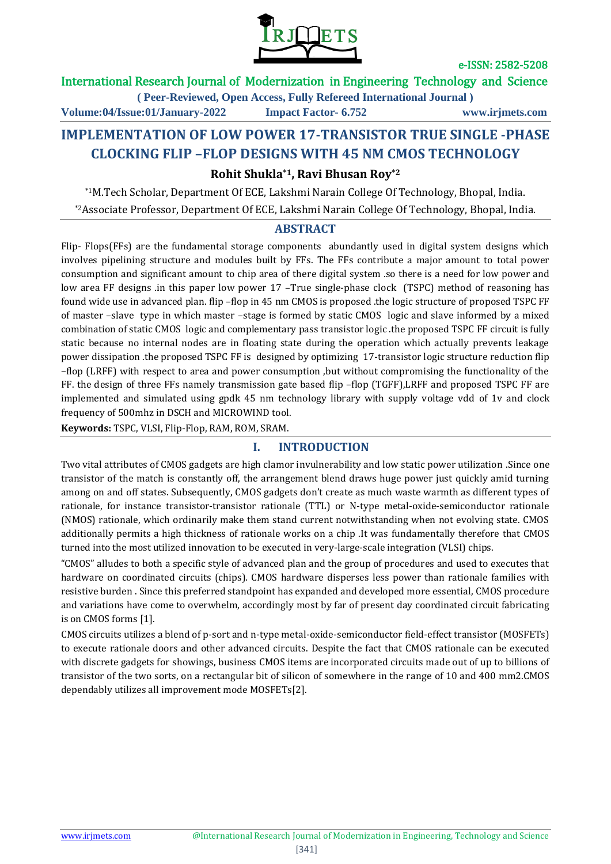

### International Research Journal of Modernization in Engineering Technology and Science

**( Peer-Reviewed, Open Access, Fully Refereed International Journal )**

**Volume:04/Issue:01/January-2022 Impact Factor- 6.752 www.irjmets.com**

# **IMPLEMENTATION OF LOW POWER 17-TRANSISTOR TRUE SINGLE -PHASE CLOCKING FLIP –FLOP DESIGNS WITH 45 NM CMOS TECHNOLOGY**

### **Rohit Shukla\*1, Ravi Bhusan Roy\*2**

\*1M.Tech Scholar, Department Of ECE, Lakshmi Narain College Of Technology, Bhopal, India. \*2Associate Professor, Department Of ECE, Lakshmi Narain College Of Technology, Bhopal, India.

#### **ABSTRACT**

Flip- Flops(FFs) are the fundamental storage components abundantly used in digital system designs which involves pipelining structure and modules built by FFs. The FFs contribute a major amount to total power consumption and significant amount to chip area of there digital system .so there is a need for low power and low area FF designs .in this paper low power 17 –True single-phase clock (TSPC) method of reasoning has found wide use in advanced plan. flip –flop in 45 nm CMOS is proposed .the logic structure of proposed TSPC FF of master –slave type in which master –stage is formed by static CMOS logic and slave informed by a mixed combination of static CMOS logic and complementary pass transistor logic .the proposed TSPC FF circuit is fully static because no internal nodes are in floating state during the operation which actually prevents leakage power dissipation .the proposed TSPC FF is designed by optimizing 17-transistor logic structure reduction flip –flop (LRFF) with respect to area and power consumption ,but without compromising the functionality of the FF. the design of three FFs namely transmission gate based flip –flop (TGFF),LRFF and proposed TSPC FF are implemented and simulated using gpdk 45 nm technology library with supply voltage vdd of 1v and clock frequency of 500mhz in DSCH and MICROWIND tool.

**Keywords:** TSPC, VLSI, Flip-Flop, RAM, ROM, SRAM.

### **I. INTRODUCTION**

Two vital attributes of CMOS gadgets are high clamor invulnerability and low static power utilization .Since one transistor of the match is constantly off, the arrangement blend draws huge power just quickly amid turning among on and off states. Subsequently, CMOS gadgets don't create as much waste warmth as different types of rationale, for instance transistor-transistor rationale (TTL) or N-type metal-oxide-semiconductor rationale (NMOS) rationale, which ordinarily make them stand current notwithstanding when not evolving state. CMOS additionally permits a high thickness of rationale works on a chip .It was fundamentally therefore that CMOS turned into the most utilized innovation to be executed in very-large-scale integration (VLSI) chips.

"CMOS" alludes to both a specific style of advanced plan and the group of procedures and used to executes that hardware on coordinated circuits (chips). CMOS hardware disperses less power than rationale families with resistive burden . Since this preferred standpoint has expanded and developed more essential, CMOS procedure and variations have come to overwhelm, accordingly most by far of present day coordinated circuit fabricating is on CMOS forms [1].

CMOS circuits utilizes a blend of p-sort and n-type metal-oxide-semiconductor field-effect transistor (MOSFETs) to execute rationale doors and other advanced circuits. Despite the fact that CMOS rationale can be executed with discrete gadgets for showings, business CMOS items are incorporated circuits made out of up to billions of transistor of the two sorts, on a rectangular bit of silicon of somewhere in the range of 10 and 400 mm2.CMOS dependably utilizes all improvement mode MOSFETs[2].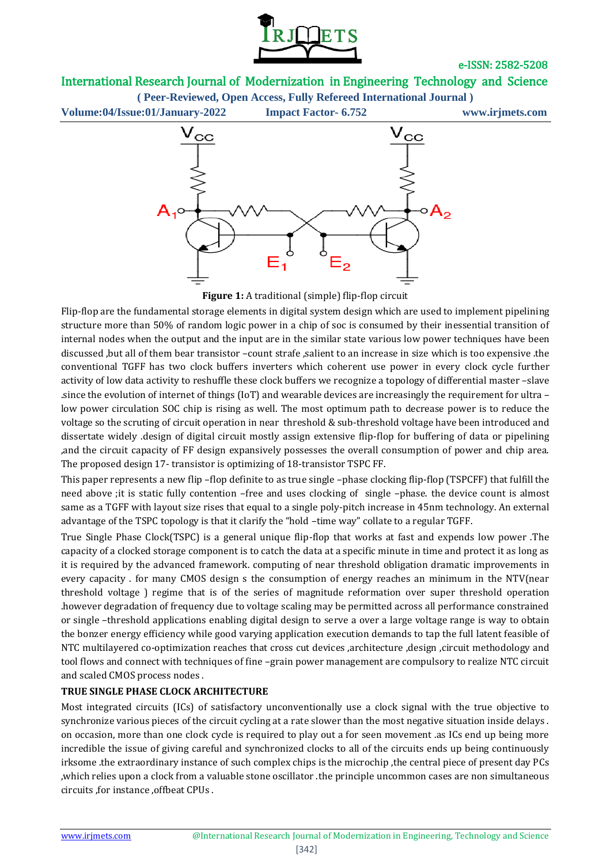

# International Research Journal of Modernization in Engineering Technology and Science

**( Peer-Reviewed, Open Access, Fully Refereed International Journal )**

**Volume:04/Issue:01/January-2022 Impact Factor- 6.752 www.irjmets.com**



Figure 1: A traditional (simple) flip-flop circuit

Flip-flop are the fundamental storage elements in digital system design which are used to implement pipelining structure more than 50% of random logic power in a chip of soc is consumed by their inessential transition of internal nodes when the output and the input are in the similar state various low power techniques have been discussed ,but all of them bear transistor –count strafe ,salient to an increase in size which is too expensive .the conventional TGFF has two clock buffers inverters which coherent use power in every clock cycle further activity of low data activity to reshuffle these clock buffers we recognize a topology of differential master –slave .since the evolution of internet of things (IoT) and wearable devices are increasingly the requirement for ultra – low power circulation SOC chip is rising as well. The most optimum path to decrease power is to reduce the voltage so the scruting of circuit operation in near threshold & sub-threshold voltage have been introduced and dissertate widely .design of digital circuit mostly assign extensive flip-flop for buffering of data or pipelining ,and the circuit capacity of FF design expansively possesses the overall consumption of power and chip area. The proposed design 17- transistor is optimizing of 18-transistor TSPC FF.

This paper represents a new flip –flop definite to as true single –phase clocking flip-flop (TSPCFF) that fulfill the need above ;it is static fully contention –free and uses clocking of single –phase. the device count is almost same as a TGFF with layout size rises that equal to a single poly-pitch increase in 45nm technology. An external advantage of the TSPC topology is that it clarify the "hold –time way" collate to a regular TGFF.

True Single Phase Clock(TSPC) is a general unique flip-flop that works at fast and expends low power .The capacity of a clocked storage component is to catch the data at a specific minute in time and protect it as long as it is required by the advanced framework. computing of near threshold obligation dramatic improvements in every capacity . for many CMOS design s the consumption of energy reaches an minimum in the NTV(near threshold voltage ) regime that is of the series of magnitude reformation over super threshold operation .however degradation of frequency due to voltage scaling may be permitted across all performance constrained or single –threshold applications enabling digital design to serve a over a large voltage range is way to obtain the bonzer energy efficiency while good varying application execution demands to tap the full latent feasible of NTC multilayered co-optimization reaches that cross cut devices ,architecture ,design ,circuit methodology and tool flows and connect with techniques of fine –grain power management are compulsory to realize NTC circuit and scaled CMOS process nodes .

#### **TRUE SINGLE PHASE CLOCK ARCHITECTURE**

Most integrated circuits (ICs) of satisfactory unconventionally use a clock signal with the true objective to synchronize various pieces of the circuit cycling at a rate slower than the most negative situation inside delays . on occasion, more than one clock cycle is required to play out a for seen movement .as ICs end up being more incredible the issue of giving careful and synchronized clocks to all of the circuits ends up being continuously irksome .the extraordinary instance of such complex chips is the microchip ,the central piece of present day PCs ,which relies upon a clock from a valuable stone oscillator .the principle uncommon cases are non simultaneous circuits ,for instance ,offbeat CPUs .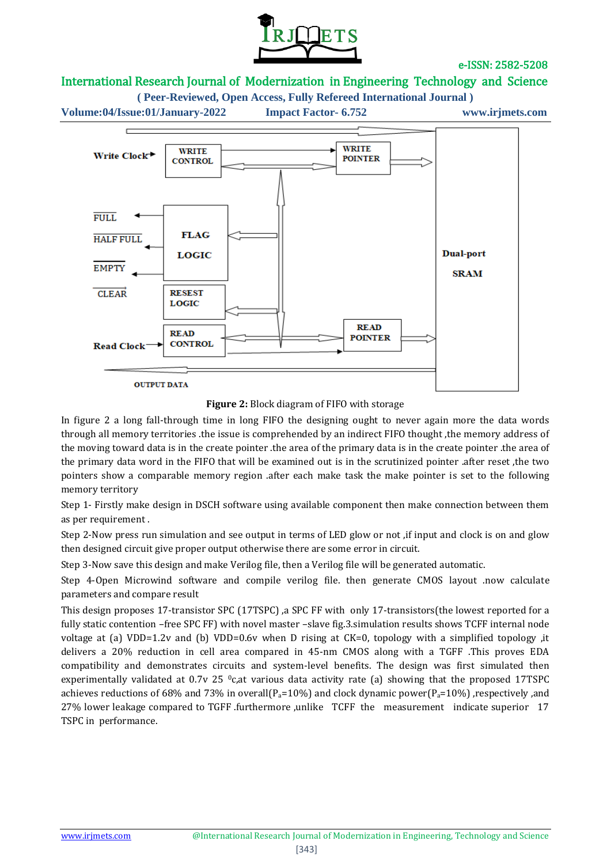

# International Research Journal of Modernization in Engineering Technology and Science

**( Peer-Reviewed, Open Access, Fully Refereed International Journal ) Volume:04/Issue:01/January-2022 Impact Factor- 6.752 www.irjmets.com**



**Figure 2:** Block diagram of FIFO with storage

In figure 2 a long fall-through time in long FIFO the designing ought to never again more the data words through all memory territories .the issue is comprehended by an indirect FIFO thought ,the memory address of the moving toward data is in the create pointer .the area of the primary data is in the create pointer .the area of the primary data word in the FIFO that will be examined out is in the scrutinized pointer .after reset ,the two pointers show a comparable memory region .after each make task the make pointer is set to the following memory territory

Step 1- Firstly make design in DSCH software using available component then make connection between them as per requirement .

Step 2-Now press run simulation and see output in terms of LED glow or not ,if input and clock is on and glow then designed circuit give proper output otherwise there are some error in circuit.

Step 3-Now save this design and make Verilog file, then a Verilog file will be generated automatic.

Step 4-Open Microwind software and compile verilog file. then generate CMOS layout .now calculate parameters and compare result

This design proposes 17-transistor SPC (17TSPC) ,a SPC FF with only 17-transistors(the lowest reported for a fully static contention –free SPC FF) with novel master –slave fig.3.simulation results shows TCFF internal node voltage at (a) VDD=1.2v and (b) VDD=0.6v when D rising at CK=0, topology with a simplified topology ,it delivers a 20% reduction in cell area compared in 45-nm CMOS along with a TGFF .This proves EDA compatibility and demonstrates circuits and system-level benefits. The design was first simulated then experimentally validated at  $0.7v$  25  $\textdegree c$ , at various data activity rate (a) showing that the proposed 17TSPC achieves reductions of 68% and 73% in overall( $P_a=10\%$ ) and clock dynamic power( $P_a=10\%$ ), respectively ,and 27% lower leakage compared to TGFF .furthermore ,unlike TCFF the measurement indicate superior 17 TSPC in performance.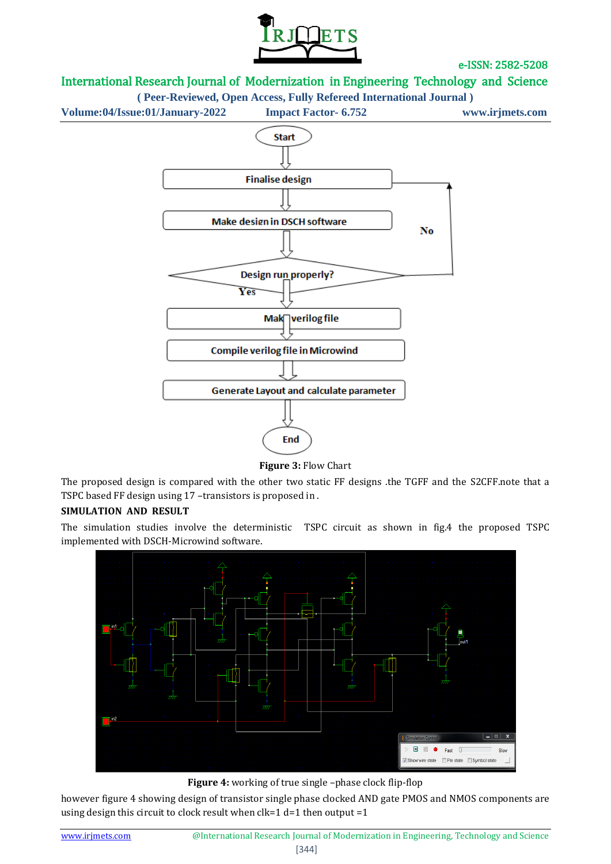

# International Research Journal of Modernization in Engineering Technology and Science



**Figure 3:** Flow Chart

The proposed design is compared with the other two static FF designs .the TGFF and the S2CFF.note that a TSPC based FF design using 17 –transistors is proposed in .

#### **SIMULATION AND RESULT**

The simulation studies involve the deterministic TSPC circuit as shown in fig.4 the proposed TSPC implemented with DSCH-Microwind software.



**Figure 4:** working of true single –phase clock flip-flop

however figure 4 showing design of transistor single phase clocked AND gate PMOS and NMOS components are using design this circuit to clock result when clk=1 d=1 then output =1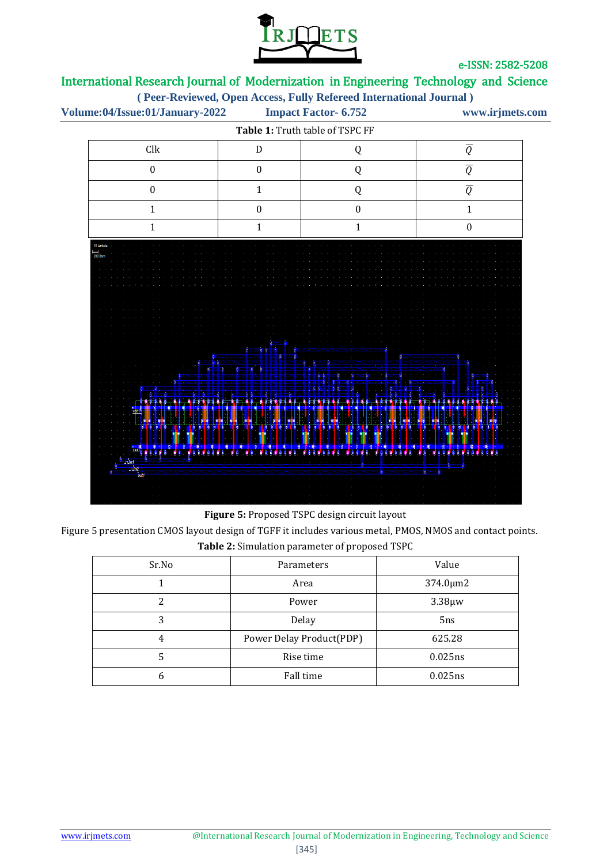



**Figure 5:** Proposed TSPC design circuit layout

Figure 5 presentation CMOS layout design of TGFF it includes various metal, PMOS, NMOS and contact points. **Table 2:** Simulation parameter of proposed TSPC

| Sr.No | Parameters               | Value          |
|-------|--------------------------|----------------|
|       | Area                     | $374.0 \mu m2$ |
|       | Power                    | $3.38 \mu w$   |
| 3     | Delay                    | 5ns            |
| 4     | Power Delay Product(PDP) | 625.28         |
|       | Rise time                | 0.025ns        |
| 6     | Fall time                | 0.025ns        |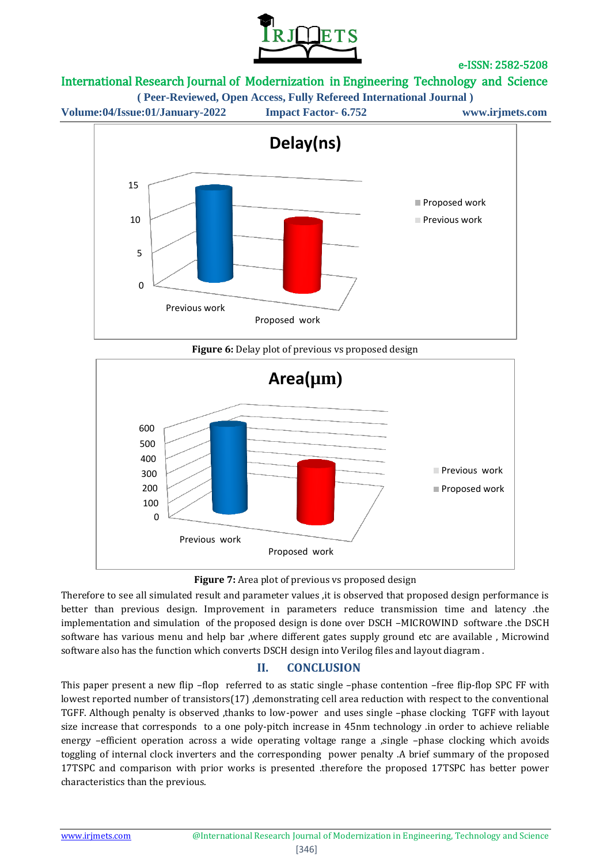

# International Research Journal of Modernization in Engineering Technology and Science

**( Peer-Reviewed, Open Access, Fully Refereed International Journal )**





**Figure 6:** Delay plot of previous vs proposed design



**Figure 7:** Area plot of previous vs proposed design

Therefore to see all simulated result and parameter values ,it is observed that proposed design performance is better than previous design. Improvement in parameters reduce transmission time and latency .the implementation and simulation of the proposed design is done over DSCH –MICROWIND software .the DSCH software has various menu and help bar ,where different gates supply ground etc are available , Microwind software also has the function which converts DSCH design into Verilog files and layout diagram .

# **II. CONCLUSION**

This paper present a new flip –flop referred to as static single –phase contention –free flip-flop SPC FF with lowest reported number of transistors(17), demonstrating cell area reduction with respect to the conventional TGFF. Although penalty is observed ,thanks to low-power and uses single –phase clocking TGFF with layout size increase that corresponds to a one poly-pitch increase in 45nm technology .in order to achieve reliable energy –efficient operation across a wide operating voltage range a , single –phase clocking which avoids toggling of internal clock inverters and the corresponding power penalty .A brief summary of the proposed 17TSPC and comparison with prior works is presented .therefore the proposed 17TSPC has better power characteristics than the previous.